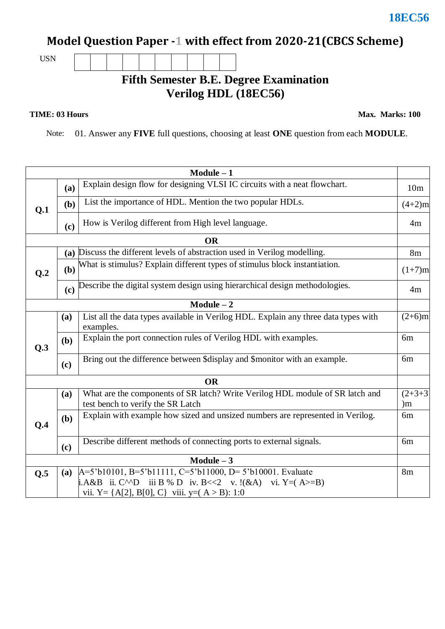## **Model Question Paper -1 with effect from 2020-21(CBCS Scheme)**

USN

## **Fifth Semester B.E. Degree Examination Verilog HDL (18EC56)**

## **TIME: 03 Hours**

**Max. Marks: 100**

Note: 01. Answer any **FIVE** full questions, choosing at least **ONE** question from each **MODULE**.

|              |           | $Module - 1$                                                                                                                                                                                                                  |                 |  |  |  |  |  |  |
|--------------|-----------|-------------------------------------------------------------------------------------------------------------------------------------------------------------------------------------------------------------------------------|-----------------|--|--|--|--|--|--|
|              | (a)       | Explain design flow for designing VLSI IC circuits with a neat flowchart.                                                                                                                                                     |                 |  |  |  |  |  |  |
| Q.1          | (b)       | List the importance of HDL. Mention the two popular HDLs.                                                                                                                                                                     |                 |  |  |  |  |  |  |
|              | (c)       | How is Verilog different from High level language.                                                                                                                                                                            |                 |  |  |  |  |  |  |
|              | <b>OR</b> |                                                                                                                                                                                                                               |                 |  |  |  |  |  |  |
| Q.2          |           | (a) Discuss the different levels of abstraction used in Verilog modelling.                                                                                                                                                    | 8m              |  |  |  |  |  |  |
|              | (b)       | What is stimulus? Explain different types of stimulus block instantiation.                                                                                                                                                    |                 |  |  |  |  |  |  |
|              | (c)       | Describe the digital system design using hierarchical design methodologies.                                                                                                                                                   | 4m              |  |  |  |  |  |  |
|              |           | $Module - 2$                                                                                                                                                                                                                  |                 |  |  |  |  |  |  |
| Q.3          | (a)       | List all the data types available in Verilog HDL. Explain any three data types with<br>examples.                                                                                                                              | $(2+6)m$        |  |  |  |  |  |  |
|              | (b)       | Explain the port connection rules of Verilog HDL with examples.                                                                                                                                                               | 6m              |  |  |  |  |  |  |
|              | (c)       | Bring out the difference between \$display and \$monitor with an example.                                                                                                                                                     | 6m              |  |  |  |  |  |  |
| <b>OR</b>    |           |                                                                                                                                                                                                                               |                 |  |  |  |  |  |  |
|              | (a)       | What are the components of SR latch? Write Verilog HDL module of SR latch and<br>test bench to verify the SR Latch                                                                                                            | $(2+3+3)$<br>)m |  |  |  |  |  |  |
| Q.4          | (b)       | Explain with example how sized and unsized numbers are represented in Verilog.                                                                                                                                                | 6 <sub>m</sub>  |  |  |  |  |  |  |
|              | (c)       | Describe different methods of connecting ports to external signals.                                                                                                                                                           | 6 <sub>m</sub>  |  |  |  |  |  |  |
| $Module - 3$ |           |                                                                                                                                                                                                                               |                 |  |  |  |  |  |  |
| Q.5          | (a)       | $A=5$ 'b10101, B=5'b11111, C=5'b11000, D= 5'b10001. Evaluate<br><b>i.</b> A&B ii. C <sup><math>\wedge \wedge</math></sup> D iii B % D iv. B <<2 v. !(&A) vi. Y = (A > = B)<br>vii. Y = {A[2], B[0], C} viii. y = (A > B): 1:0 | 8 <sub>m</sub>  |  |  |  |  |  |  |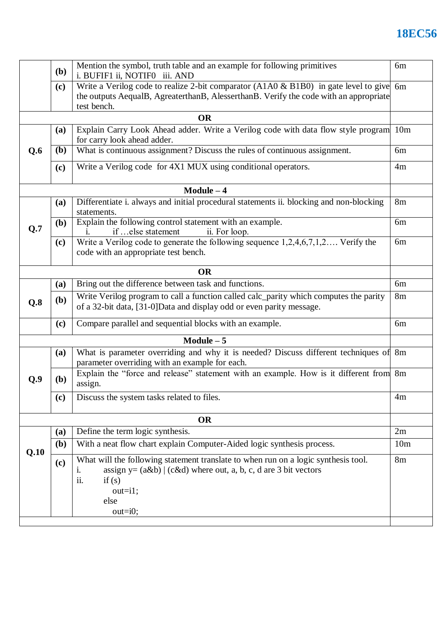## **18EC56**

|              | Mention the symbol, truth table and an example for following primitives<br><b>(b)</b><br>i. BUFIF1 ii, NOTIF0 iii. AND                                                                              |                                                                                                                                                                                                       |                 |  |  |  |  |
|--------------|-----------------------------------------------------------------------------------------------------------------------------------------------------------------------------------------------------|-------------------------------------------------------------------------------------------------------------------------------------------------------------------------------------------------------|-----------------|--|--|--|--|
|              | Write a Verilog code to realize 2-bit comparator (A1A0 & B1B0) in gate level to give<br>(c)<br>the outputs AequalB, AgreaterthanB, AlesserthanB. Verify the code with an appropriate<br>test bench. |                                                                                                                                                                                                       |                 |  |  |  |  |
|              |                                                                                                                                                                                                     | <b>OR</b>                                                                                                                                                                                             |                 |  |  |  |  |
|              | (a)                                                                                                                                                                                                 | Explain Carry Look Ahead adder. Write a Verilog code with data flow style program<br>10 <sub>m</sub><br>for carry look ahead adder.                                                                   |                 |  |  |  |  |
| Q.6          | ( <b>b</b> )                                                                                                                                                                                        | What is continuous assignment? Discuss the rules of continuous assignment.<br>6 <sub>m</sub>                                                                                                          |                 |  |  |  |  |
|              | (c)                                                                                                                                                                                                 | Write a Verilog code for 4X1 MUX using conditional operators.                                                                                                                                         |                 |  |  |  |  |
| $Module - 4$ |                                                                                                                                                                                                     |                                                                                                                                                                                                       |                 |  |  |  |  |
|              | (a)                                                                                                                                                                                                 | Differentiate i. always and initial procedural statements ii. blocking and non-blocking<br>statements.                                                                                                | 8m              |  |  |  |  |
| Q.7          | ( <b>b</b> )                                                                                                                                                                                        | Explain the following control statement with an example.<br>if  else statement<br>ii. For loop.<br>1.                                                                                                 |                 |  |  |  |  |
|              | (c)                                                                                                                                                                                                 | Write a Verilog code to generate the following sequence $1,2,4,6,7,1,2$ Verify the<br>code with an appropriate test bench.                                                                            | 6m              |  |  |  |  |
|              |                                                                                                                                                                                                     | <b>OR</b>                                                                                                                                                                                             |                 |  |  |  |  |
|              | <b>(a)</b>                                                                                                                                                                                          | Bring out the difference between task and functions.                                                                                                                                                  | 6m              |  |  |  |  |
| Q.8          | ( <b>b</b> )                                                                                                                                                                                        | Write Verilog program to call a function called calc_parity which computes the parity<br>of a 32-bit data, [31-0]Data and display odd or even parity message.                                         |                 |  |  |  |  |
|              | (c)                                                                                                                                                                                                 | Compare parallel and sequential blocks with an example.                                                                                                                                               | 6m              |  |  |  |  |
| $Module - 5$ |                                                                                                                                                                                                     |                                                                                                                                                                                                       |                 |  |  |  |  |
|              | (a)                                                                                                                                                                                                 | What is parameter overriding and why it is needed? Discuss different techniques of 8m<br>parameter overriding with an example for each.                                                               |                 |  |  |  |  |
| Q.9          | (b)                                                                                                                                                                                                 | Explain the "force and release" statement with an example. How is it different from 8m<br>assign.                                                                                                     |                 |  |  |  |  |
|              | (c)                                                                                                                                                                                                 | Discuss the system tasks related to files.                                                                                                                                                            | 4m              |  |  |  |  |
|              |                                                                                                                                                                                                     | <b>OR</b>                                                                                                                                                                                             |                 |  |  |  |  |
|              | (a)                                                                                                                                                                                                 | Define the term logic synthesis.                                                                                                                                                                      | 2m              |  |  |  |  |
|              | ( <b>b</b> )                                                                                                                                                                                        | With a neat flow chart explain Computer-Aided logic synthesis process.                                                                                                                                | 10 <sub>m</sub> |  |  |  |  |
| Q.10         | (c)                                                                                                                                                                                                 | What will the following statement translate to when run on a logic synthesis tool.<br>assign $y = (a\&b)   (c\&d)$ where out, a, b, c, d are 3 bit vectors<br>i.<br>ii.<br>if(s)<br>$out=i1;$<br>else | 8 <sub>m</sub>  |  |  |  |  |
|              |                                                                                                                                                                                                     | $out=i0;$                                                                                                                                                                                             |                 |  |  |  |  |